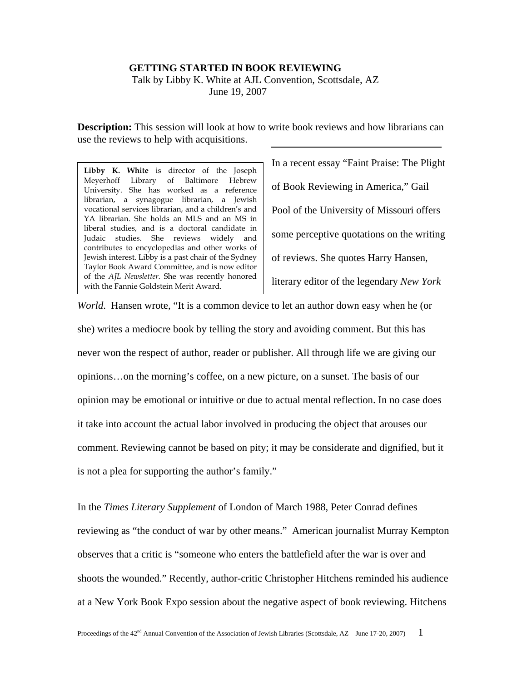## **GETTING STARTED IN BOOK REVIEWING**

 Talk by Libby K. White at AJL Convention, Scottsdale, AZ June 19, 2007

**Description:** This session will look at how to write book reviews and how librarians can use the reviews to help with acquisitions.

**Libby K. White** is director of the Joseph Meyerhoff Library of Baltimore Hebrew University. She has worked as a reference librarian, a synagogue librarian, a Jewish vocational services librarian, and a children's and YA librarian. She holds an MLS and an MS in liberal studies, and is a doctoral candidate in Judaic studies. She reviews widely and contributes to encyclopedias and other works of Jewish interest. Libby is a past chair of the Sydney Taylor Book Award Committee, and is now editor of the *AJL Newsletter*. She was recently honored with the Fannie Goldstein Merit Award.

In a recent essay "Faint Praise: The Plight of Book Reviewing in America," Gail Pool of the University of Missouri offers some perceptive quotations on the writing of reviews. She quotes Harry Hansen, literary editor of the legendary *New York* 

*World*. Hansen wrote, "It is a common device to let an author down easy when he (or she) writes a mediocre book by telling the story and avoiding comment. But this has never won the respect of author, reader or publisher. All through life we are giving our opinions…on the morning's coffee, on a new picture, on a sunset. The basis of our opinion may be emotional or intuitive or due to actual mental reflection. In no case does it take into account the actual labor involved in producing the object that arouses our comment. Reviewing cannot be based on pity; it may be considerate and dignified, but it is not a plea for supporting the author's family."

In the *Times Literary Supplement* of London of March 1988, Peter Conrad defines reviewing as "the conduct of war by other means." American journalist Murray Kempton observes that a critic is "someone who enters the battlefield after the war is over and shoots the wounded." Recently, author-critic Christopher Hitchens reminded his audience at a New York Book Expo session about the negative aspect of book reviewing. Hitchens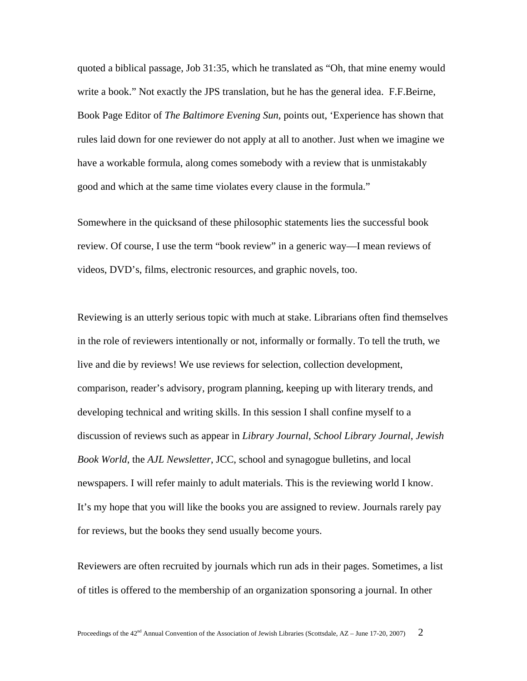quoted a biblical passage, Job 31:35, which he translated as "Oh, that mine enemy would write a book." Not exactly the JPS translation, but he has the general idea. F.F.Beirne, Book Page Editor of *The Baltimore Evening Sun*, points out, 'Experience has shown that rules laid down for one reviewer do not apply at all to another. Just when we imagine we have a workable formula, along comes somebody with a review that is unmistakably good and which at the same time violates every clause in the formula."

Somewhere in the quicksand of these philosophic statements lies the successful book review. Of course, I use the term "book review" in a generic way—I mean reviews of videos, DVD's, films, electronic resources, and graphic novels, too.

Reviewing is an utterly serious topic with much at stake. Librarians often find themselves in the role of reviewers intentionally or not, informally or formally. To tell the truth, we live and die by reviews! We use reviews for selection, collection development, comparison, reader's advisory, program planning, keeping up with literary trends, and developing technical and writing skills. In this session I shall confine myself to a discussion of reviews such as appear in *Library Journal*, *School Library Journal*, *Jewish Book World*, the *AJL Newsletter*, JCC, school and synagogue bulletins, and local newspapers. I will refer mainly to adult materials. This is the reviewing world I know. It's my hope that you will like the books you are assigned to review. Journals rarely pay for reviews, but the books they send usually become yours.

Reviewers are often recruited by journals which run ads in their pages. Sometimes, a list of titles is offered to the membership of an organization sponsoring a journal. In other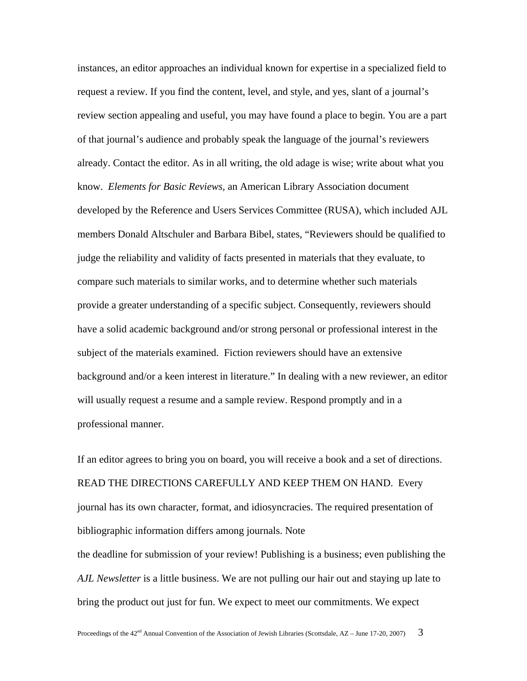instances, an editor approaches an individual known for expertise in a specialized field to request a review. If you find the content, level, and style, and yes, slant of a journal's review section appealing and useful, you may have found a place to begin. You are a part of that journal's audience and probably speak the language of the journal's reviewers already. Contact the editor. As in all writing, the old adage is wise; write about what you know. *Elements for Basic Reviews,* an American Library Association document developed by the Reference and Users Services Committee (RUSA), which included AJL members Donald Altschuler and Barbara Bibel, states, "Reviewers should be qualified to judge the reliability and validity of facts presented in materials that they evaluate, to compare such materials to similar works, and to determine whether such materials provide a greater understanding of a specific subject. Consequently, reviewers should have a solid academic background and/or strong personal or professional interest in the subject of the materials examined. Fiction reviewers should have an extensive background and/or a keen interest in literature." In dealing with a new reviewer, an editor will usually request a resume and a sample review. Respond promptly and in a professional manner.

If an editor agrees to bring you on board, you will receive a book and a set of directions. READ THE DIRECTIONS CAREFULLY AND KEEP THEM ON HAND. Every journal has its own character, format, and idiosyncracies. The required presentation of bibliographic information differs among journals. Note the deadline for submission of your review! Publishing is a business; even publishing the *AJL Newsletter* is a little business. We are not pulling our hair out and staying up late to bring the product out just for fun. We expect to meet our commitments. We expect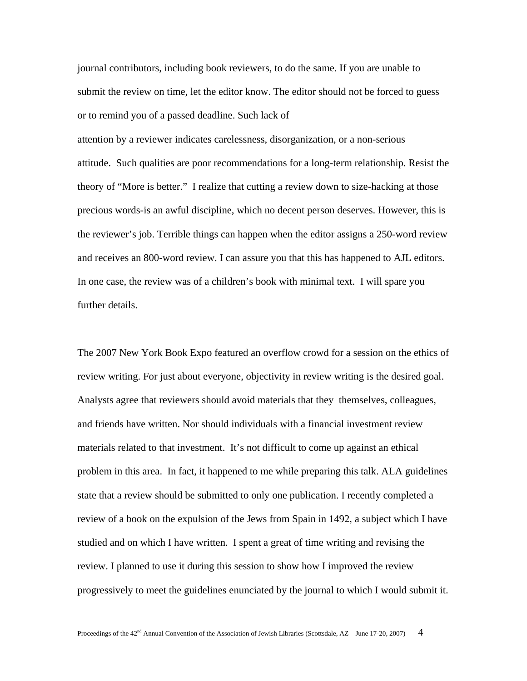journal contributors, including book reviewers, to do the same. If you are unable to submit the review on time, let the editor know. The editor should not be forced to guess or to remind you of a passed deadline. Such lack of

attention by a reviewer indicates carelessness, disorganization, or a non-serious attitude. Such qualities are poor recommendations for a long-term relationship. Resist the theory of "More is better." I realize that cutting a review down to size-hacking at those precious words-is an awful discipline, which no decent person deserves. However, this is the reviewer's job. Terrible things can happen when the editor assigns a 250-word review and receives an 800-word review. I can assure you that this has happened to AJL editors. In one case, the review was of a children's book with minimal text. I will spare you further details.

The 2007 New York Book Expo featured an overflow crowd for a session on the ethics of review writing. For just about everyone, objectivity in review writing is the desired goal. Analysts agree that reviewers should avoid materials that they themselves, colleagues, and friends have written. Nor should individuals with a financial investment review materials related to that investment. It's not difficult to come up against an ethical problem in this area. In fact, it happened to me while preparing this talk. ALA guidelines state that a review should be submitted to only one publication. I recently completed a review of a book on the expulsion of the Jews from Spain in 1492, a subject which I have studied and on which I have written. I spent a great of time writing and revising the review. I planned to use it during this session to show how I improved the review progressively to meet the guidelines enunciated by the journal to which I would submit it.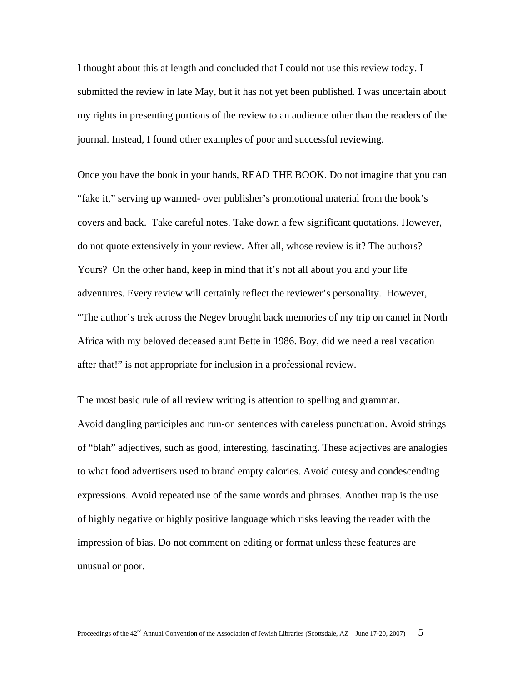I thought about this at length and concluded that I could not use this review today. I submitted the review in late May, but it has not yet been published. I was uncertain about my rights in presenting portions of the review to an audience other than the readers of the journal. Instead, I found other examples of poor and successful reviewing.

Once you have the book in your hands, READ THE BOOK. Do not imagine that you can "fake it," serving up warmed- over publisher's promotional material from the book's covers and back. Take careful notes. Take down a few significant quotations. However, do not quote extensively in your review. After all, whose review is it? The authors? Yours? On the other hand, keep in mind that it's not all about you and your life adventures. Every review will certainly reflect the reviewer's personality. However, "The author's trek across the Negev brought back memories of my trip on camel in North Africa with my beloved deceased aunt Bette in 1986. Boy, did we need a real vacation after that!" is not appropriate for inclusion in a professional review.

The most basic rule of all review writing is attention to spelling and grammar. Avoid dangling participles and run-on sentences with careless punctuation. Avoid strings of "blah" adjectives, such as good, interesting, fascinating. These adjectives are analogies to what food advertisers used to brand empty calories. Avoid cutesy and condescending expressions. Avoid repeated use of the same words and phrases. Another trap is the use of highly negative or highly positive language which risks leaving the reader with the impression of bias. Do not comment on editing or format unless these features are unusual or poor.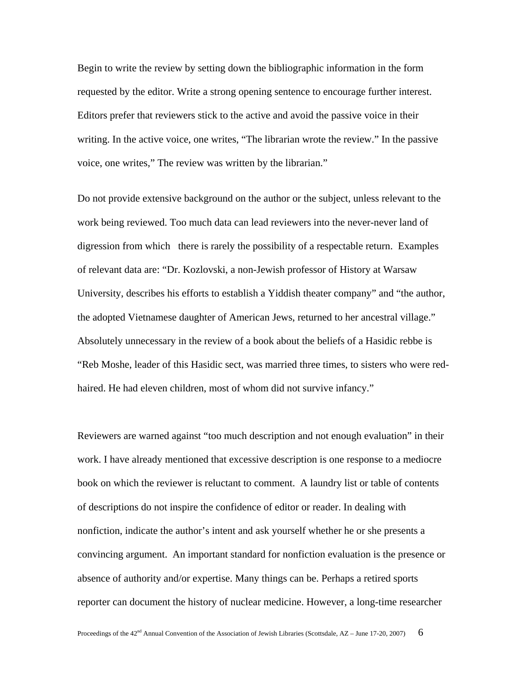Begin to write the review by setting down the bibliographic information in the form requested by the editor. Write a strong opening sentence to encourage further interest. Editors prefer that reviewers stick to the active and avoid the passive voice in their writing. In the active voice, one writes, "The librarian wrote the review." In the passive voice, one writes," The review was written by the librarian."

Do not provide extensive background on the author or the subject, unless relevant to the work being reviewed. Too much data can lead reviewers into the never-never land of digression from which there is rarely the possibility of a respectable return. Examples of relevant data are: "Dr. Kozlovski, a non-Jewish professor of History at Warsaw University, describes his efforts to establish a Yiddish theater company" and "the author, the adopted Vietnamese daughter of American Jews, returned to her ancestral village." Absolutely unnecessary in the review of a book about the beliefs of a Hasidic rebbe is "Reb Moshe, leader of this Hasidic sect, was married three times, to sisters who were redhaired. He had eleven children, most of whom did not survive infancy."

Reviewers are warned against "too much description and not enough evaluation" in their work. I have already mentioned that excessive description is one response to a mediocre book on which the reviewer is reluctant to comment. A laundry list or table of contents of descriptions do not inspire the confidence of editor or reader. In dealing with nonfiction, indicate the author's intent and ask yourself whether he or she presents a convincing argument. An important standard for nonfiction evaluation is the presence or absence of authority and/or expertise. Many things can be. Perhaps a retired sports reporter can document the history of nuclear medicine. However, a long-time researcher